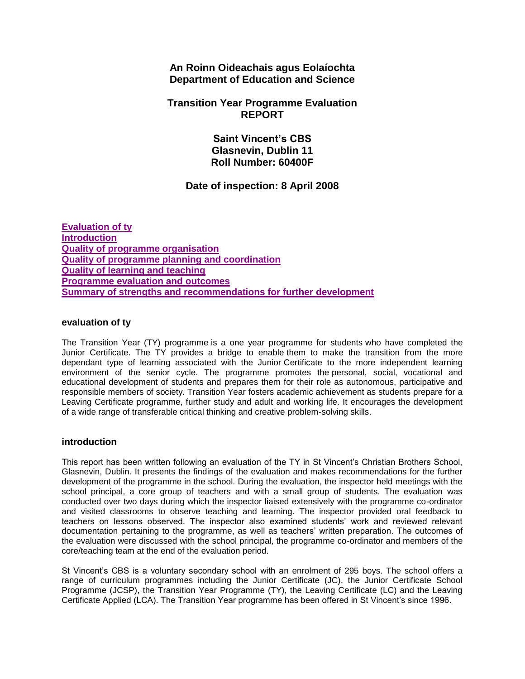# **An Roinn Oideachais agus Eolaíochta Department of Education and Science**

# **Transition Year Programme Evaluation REPORT**

**Saint Vincent's CBS Glasnevin, Dublin 11 Roll Number: 60400F**

# **Date of inspection: 8 April 2008**

**[Evaluation of ty](http://www.education.ie/en/Publications/Inspection-Reports-Publications/Programme-Evaluation-Reports-List/report5_60400F.htm#_Toc214183390) [Introduction](http://www.education.ie/en/Publications/Inspection-Reports-Publications/Programme-Evaluation-Reports-List/report5_60400F.htm#_Toc214183391) [Quality of programme organisation](http://www.education.ie/en/Publications/Inspection-Reports-Publications/Programme-Evaluation-Reports-List/report5_60400F.htm#_Toc214183392) [Quality of programme planning and coordination](http://www.education.ie/en/Publications/Inspection-Reports-Publications/Programme-Evaluation-Reports-List/report5_60400F.htm#_Toc214183393) [Quality of learning and teaching](http://www.education.ie/en/Publications/Inspection-Reports-Publications/Programme-Evaluation-Reports-List/report5_60400F.htm#_Toc214183394) [Programme evaluation and outcomes](http://www.education.ie/en/Publications/Inspection-Reports-Publications/Programme-Evaluation-Reports-List/report5_60400F.htm#_Toc214183395) [Summary of strengths and recommendations for further development](http://www.education.ie/en/Publications/Inspection-Reports-Publications/Programme-Evaluation-Reports-List/report5_60400F.htm#_Toc214183396)**

### **evaluation of ty**

The Transition Year (TY) programme is a one year programme for students who have completed the Junior Certificate. The TY provides a bridge to enable them to make the transition from the more dependant type of learning associated with the Junior Certificate to the more independent learning environment of the senior cycle. The programme promotes the personal, social, vocational and educational development of students and prepares them for their role as autonomous, participative and responsible members of society. Transition Year fosters academic achievement as students prepare for a Leaving Certificate programme, further study and adult and working life. It encourages the development of a wide range of transferable critical thinking and creative problem-solving skills.

# **introduction**

This report has been written following an evaluation of the TY in St Vincent's Christian Brothers School, Glasnevin, Dublin. It presents the findings of the evaluation and makes recommendations for the further development of the programme in the school. During the evaluation, the inspector held meetings with the school principal, a core group of teachers and with a small group of students. The evaluation was conducted over two days during which the inspector liaised extensively with the programme co-ordinator and visited classrooms to observe teaching and learning. The inspector provided oral feedback to teachers on lessons observed. The inspector also examined students' work and reviewed relevant documentation pertaining to the programme, as well as teachers' written preparation. The outcomes of the evaluation were discussed with the school principal, the programme co-ordinator and members of the core/teaching team at the end of the evaluation period.

St Vincent's CBS is a voluntary secondary school with an enrolment of 295 boys. The school offers a range of curriculum programmes including the Junior Certificate (JC), the Junior Certificate School Programme (JCSP), the Transition Year Programme (TY), the Leaving Certificate (LC) and the Leaving Certificate Applied (LCA). The Transition Year programme has been offered in St Vincent's since 1996.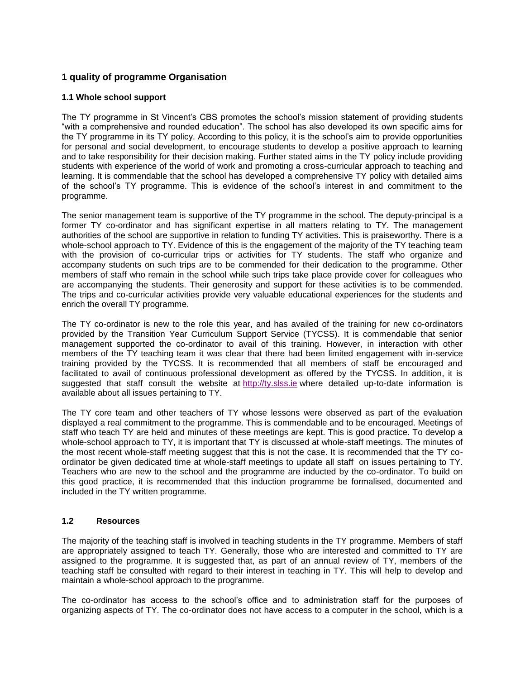# **1 quality of programme Organisation**

### **1.1 Whole school support**

The TY programme in St Vincent's CBS promotes the school's mission statement of providing students "with a comprehensive and rounded education". The school has also developed its own specific aims for the TY programme in its TY policy. According to this policy, it is the school's aim to provide opportunities for personal and social development, to encourage students to develop a positive approach to learning and to take responsibility for their decision making. Further stated aims in the TY policy include providing students with experience of the world of work and promoting a cross-curricular approach to teaching and learning. It is commendable that the school has developed a comprehensive TY policy with detailed aims of the school's TY programme. This is evidence of the school's interest in and commitment to the programme.

The senior management team is supportive of the TY programme in the school. The deputy-principal is a former TY co-ordinator and has significant expertise in all matters relating to TY. The management authorities of the school are supportive in relation to funding TY activities. This is praiseworthy. There is a whole-school approach to TY. Evidence of this is the engagement of the majority of the TY teaching team with the provision of co-curricular trips or activities for TY students. The staff who organize and accompany students on such trips are to be commended for their dedication to the programme. Other members of staff who remain in the school while such trips take place provide cover for colleagues who are accompanying the students. Their generosity and support for these activities is to be commended. The trips and co-curricular activities provide very valuable educational experiences for the students and enrich the overall TY programme.

The TY co-ordinator is new to the role this year, and has availed of the training for new co-ordinators provided by the Transition Year Curriculum Support Service (TYCSS). It is commendable that senior management supported the co-ordinator to avail of this training. However, in interaction with other members of the TY teaching team it was clear that there had been limited engagement with in-service training provided by the TYCSS. It is recommended that all members of staff be encouraged and facilitated to avail of continuous professional development as offered by the TYCSS. In addition, it is suggested that staff consult the website at [http://ty.slss.ie](http://ty.slss.ie/) where detailed up-to-date information is available about all issues pertaining to TY.

The TY core team and other teachers of TY whose lessons were observed as part of the evaluation displayed a real commitment to the programme. This is commendable and to be encouraged. Meetings of staff who teach TY are held and minutes of these meetings are kept. This is good practice. To develop a whole-school approach to TY, it is important that TY is discussed at whole-staff meetings. The minutes of the most recent whole-staff meeting suggest that this is not the case. It is recommended that the TY coordinator be given dedicated time at whole-staff meetings to update all staff on issues pertaining to TY. Teachers who are new to the school and the programme are inducted by the co-ordinator. To build on this good practice, it is recommended that this induction programme be formalised, documented and included in the TY written programme.

#### **1.2 Resources**

The majority of the teaching staff is involved in teaching students in the TY programme. Members of staff are appropriately assigned to teach TY. Generally, those who are interested and committed to TY are assigned to the programme. It is suggested that, as part of an annual review of TY, members of the teaching staff be consulted with regard to their interest in teaching in TY. This will help to develop and maintain a whole-school approach to the programme.

The co-ordinator has access to the school's office and to administration staff for the purposes of organizing aspects of TY. The co-ordinator does not have access to a computer in the school, which is a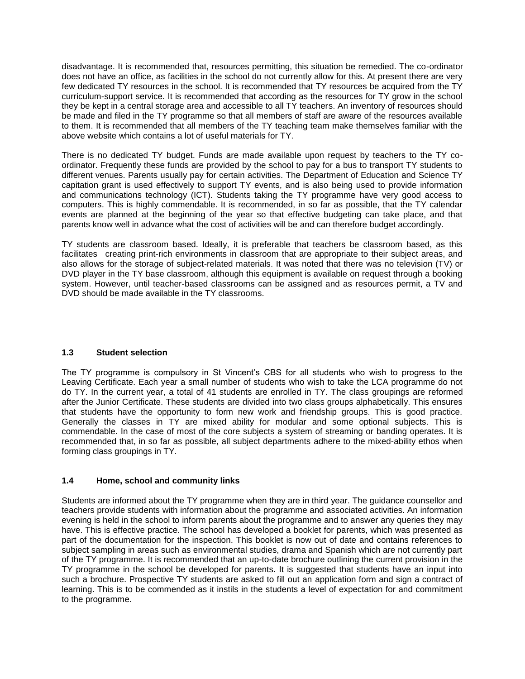disadvantage. It is recommended that, resources permitting, this situation be remedied. The co-ordinator does not have an office, as facilities in the school do not currently allow for this. At present there are very few dedicated TY resources in the school. It is recommended that TY resources be acquired from the TY curriculum-support service. It is recommended that according as the resources for TY grow in the school they be kept in a central storage area and accessible to all TY teachers. An inventory of resources should be made and filed in the TY programme so that all members of staff are aware of the resources available to them. It is recommended that all members of the TY teaching team make themselves familiar with the above website which contains a lot of useful materials for TY.

There is no dedicated TY budget. Funds are made available upon request by teachers to the TY coordinator. Frequently these funds are provided by the school to pay for a bus to transport TY students to different venues. Parents usually pay for certain activities. The Department of Education and Science TY capitation grant is used effectively to support TY events, and is also being used to provide information and communications technology (ICT). Students taking the TY programme have very good access to computers. This is highly commendable. It is recommended, in so far as possible, that the TY calendar events are planned at the beginning of the year so that effective budgeting can take place, and that parents know well in advance what the cost of activities will be and can therefore budget accordingly.

TY students are classroom based. Ideally, it is preferable that teachers be classroom based, as this facilitates creating print-rich environments in classroom that are appropriate to their subject areas, and also allows for the storage of subject-related materials. It was noted that there was no television (TV) or DVD player in the TY base classroom, although this equipment is available on request through a booking system. However, until teacher-based classrooms can be assigned and as resources permit, a TV and DVD should be made available in the TY classrooms.

# **1.3 Student selection**

The TY programme is compulsory in St Vincent's CBS for all students who wish to progress to the Leaving Certificate. Each year a small number of students who wish to take the LCA programme do not do TY. In the current year, a total of 41 students are enrolled in TY. The class groupings are reformed after the Junior Certificate. These students are divided into two class groups alphabetically. This ensures that students have the opportunity to form new work and friendship groups. This is good practice. Generally the classes in TY are mixed ability for modular and some optional subjects. This is commendable. In the case of most of the core subjects a system of streaming or banding operates. It is recommended that, in so far as possible, all subject departments adhere to the mixed-ability ethos when forming class groupings in TY.

### **1.4 Home, school and community links**

Students are informed about the TY programme when they are in third year. The guidance counsellor and teachers provide students with information about the programme and associated activities. An information evening is held in the school to inform parents about the programme and to answer any queries they may have. This is effective practice. The school has developed a booklet for parents, which was presented as part of the documentation for the inspection. This booklet is now out of date and contains references to subject sampling in areas such as environmental studies, drama and Spanish which are not currently part of the TY programme. It is recommended that an up-to-date brochure outlining the current provision in the TY programme in the school be developed for parents. It is suggested that students have an input into such a brochure. Prospective TY students are asked to fill out an application form and sign a contract of learning. This is to be commended as it instils in the students a level of expectation for and commitment to the programme.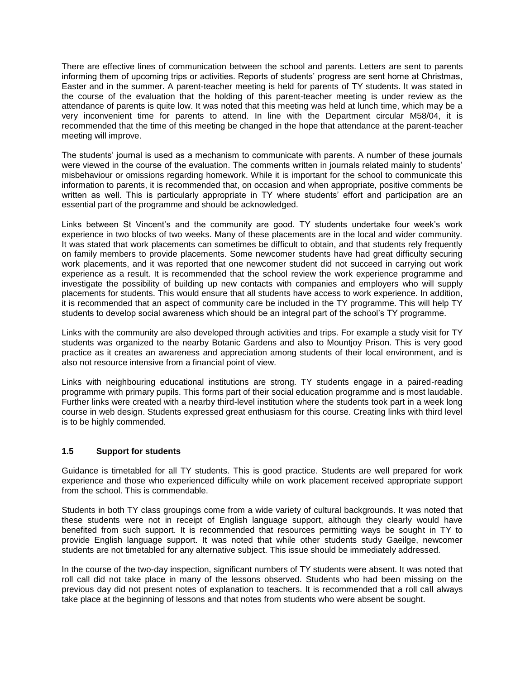There are effective lines of communication between the school and parents. Letters are sent to parents informing them of upcoming trips or activities. Reports of students' progress are sent home at Christmas, Easter and in the summer. A parent-teacher meeting is held for parents of TY students. It was stated in the course of the evaluation that the holding of this parent-teacher meeting is under review as the attendance of parents is quite low. It was noted that this meeting was held at lunch time, which may be a very inconvenient time for parents to attend. In line with the Department circular M58/04, it is recommended that the time of this meeting be changed in the hope that attendance at the parent-teacher meeting will improve.

The students' journal is used as a mechanism to communicate with parents. A number of these journals were viewed in the course of the evaluation. The comments written in journals related mainly to students' misbehaviour or omissions regarding homework. While it is important for the school to communicate this information to parents, it is recommended that, on occasion and when appropriate, positive comments be written as well. This is particularly appropriate in TY where students' effort and participation are an essential part of the programme and should be acknowledged.

Links between St Vincent's and the community are good. TY students undertake four week's work experience in two blocks of two weeks. Many of these placements are in the local and wider community. It was stated that work placements can sometimes be difficult to obtain, and that students rely frequently on family members to provide placements. Some newcomer students have had great difficulty securing work placements, and it was reported that one newcomer student did not succeed in carrying out work experience as a result. It is recommended that the school review the work experience programme and investigate the possibility of building up new contacts with companies and employers who will supply placements for students. This would ensure that all students have access to work experience. In addition, it is recommended that an aspect of community care be included in the TY programme. This will help TY students to develop social awareness which should be an integral part of the school's TY programme.

Links with the community are also developed through activities and trips. For example a study visit for TY students was organized to the nearby Botanic Gardens and also to Mountjoy Prison. This is very good practice as it creates an awareness and appreciation among students of their local environment, and is also not resource intensive from a financial point of view.

Links with neighbouring educational institutions are strong. TY students engage in a paired-reading programme with primary pupils. This forms part of their social education programme and is most laudable. Further links were created with a nearby third-level institution where the students took part in a week long course in web design. Students expressed great enthusiasm for this course. Creating links with third level is to be highly commended.

#### **1.5 Support for students**

Guidance is timetabled for all TY students. This is good practice. Students are well prepared for work experience and those who experienced difficulty while on work placement received appropriate support from the school. This is commendable.

Students in both TY class groupings come from a wide variety of cultural backgrounds. It was noted that these students were not in receipt of English language support, although they clearly would have benefited from such support. It is recommended that resources permitting ways be sought in TY to provide English language support. It was noted that while other students study Gaeilge, newcomer students are not timetabled for any alternative subject. This issue should be immediately addressed.

In the course of the two-day inspection, significant numbers of TY students were absent. It was noted that roll call did not take place in many of the lessons observed. Students who had been missing on the previous day did not present notes of explanation to teachers. It is recommended that a roll call always take place at the beginning of lessons and that notes from students who were absent be sought.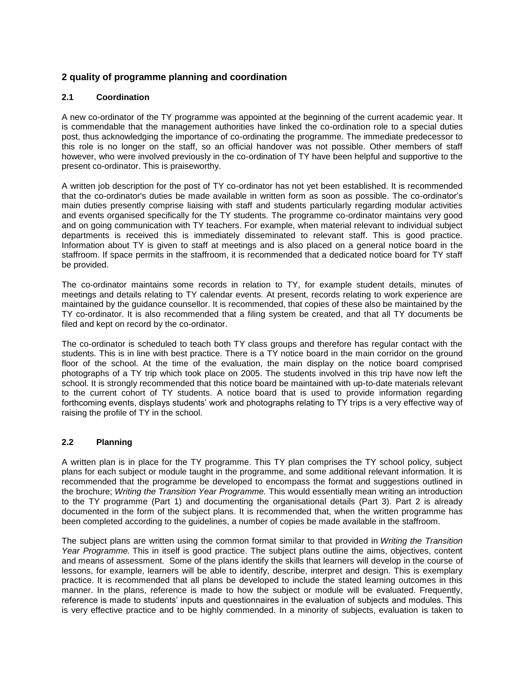# **2 quality of programme planning and coordination**

### **2.1 Coordination**

A new co-ordinator of the TY programme was appointed at the beginning of the current academic year. It is commendable that the management authorities have linked the co-ordination role to a special duties post, thus acknowledging the importance of co-ordinating the programme. The immediate predecessor to this role is no longer on the staff, so an official handover was not possible. Other members of staff however, who were involved previously in the co-ordination of TY have been helpful and supportive to the present co-ordinator. This is praiseworthy.

A written job description for the post of TY co-ordinator has not yet been established. It is recommended that the co-ordinator's duties be made available in written form as soon as possible. The co-ordinator's main duties presently comprise liaising with staff and students particularly regarding modular activities and events organised specifically for the TY students. The programme co-ordinator maintains very good and on going communication with TY teachers. For example, when material relevant to individual subject departments is received this is immediately disseminated to relevant staff. This is good practice. Information about TY is given to staff at meetings and is also placed on a general notice board in the staffroom. If space permits in the staffroom, it is recommended that a dedicated notice board for TY staff be provided.

The co-ordinator maintains some records in relation to TY, for example student details, minutes of meetings and details relating to TY calendar events. At present, records relating to work experience are maintained by the guidance counsellor. It is recommended, that copies of these also be maintained by the TY co-ordinator. It is also recommended that a filing system be created, and that all TY documents be filed and kept on record by the co-ordinator.

The co-ordinator is scheduled to teach both TY class groups and therefore has regular contact with the students. This is in line with best practice. There is a TY notice board in the main corridor on the ground floor of the school. At the time of the evaluation, the main display on the notice board comprised photographs of a TY trip which took place on 2005. The students involved in this trip have now left the school. It is strongly recommended that this notice board be maintained with up-to-date materials relevant to the current cohort of TY students. A notice board that is used to provide information regarding forthcoming events, displays students' work and photographs relating to TY trips is a very effective way of raising the profile of TY in the school.

#### **2.2 Planning**

A written plan is in place for the TY programme. This TY plan comprises the TY school policy, subject plans for each subject or module taught in the programme, and some additional relevant information. It is recommended that the programme be developed to encompass the format and suggestions outlined in the brochure; *Writing the Transition Year Programme.* This would essentially mean writing an introduction to the TY programme (Part 1) and documenting the organisational details (Part 3). Part 2 is already documented in the form of the subject plans. It is recommended that, when the written programme has been completed according to the guidelines, a number of copies be made available in the staffroom.

The subject plans are written using the common format similar to that provided in *Writing the Transition Year Programme.* This in itself is good practice. The subject plans outline the aims, objectives, content and means of assessment. Some of the plans identify the skills that learners will develop in the course of lessons, for example, learners will be able to identify, describe, interpret and design. This is exemplary practice. It is recommended that all plans be developed to include the stated learning outcomes in this manner. In the plans, reference is made to how the subject or module will be evaluated. Frequently, reference is made to students' inputs and questionnaires in the evaluation of subjects and modules. This is very effective practice and to be highly commended. In a minority of subjects, evaluation is taken to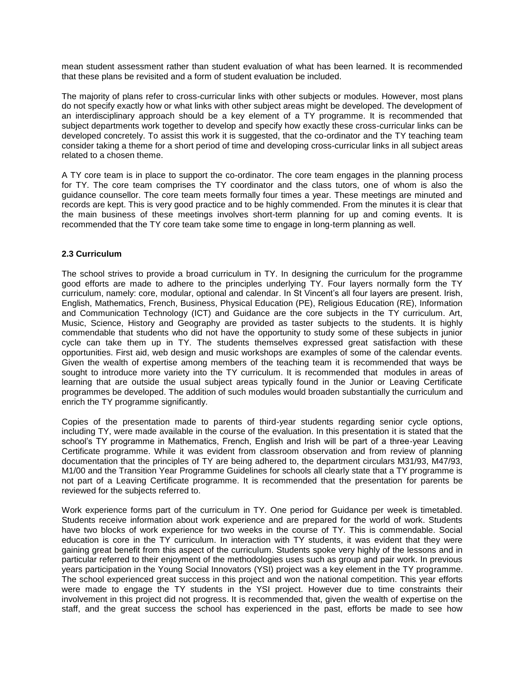mean student assessment rather than student evaluation of what has been learned. It is recommended that these plans be revisited and a form of student evaluation be included.

The majority of plans refer to cross-curricular links with other subjects or modules. However, most plans do not specify exactly how or what links with other subject areas might be developed. The development of an interdisciplinary approach should be a key element of a TY programme. It is recommended that subject departments work together to develop and specify how exactly these cross-curricular links can be developed concretely. To assist this work it is suggested, that the co-ordinator and the TY teaching team consider taking a theme for a short period of time and developing cross-curricular links in all subject areas related to a chosen theme.

A TY core team is in place to support the co-ordinator. The core team engages in the planning process for TY. The core team comprises the TY coordinator and the class tutors, one of whom is also the guidance counsellor. The core team meets formally four times a year. These meetings are minuted and records are kept. This is very good practice and to be highly commended. From the minutes it is clear that the main business of these meetings involves short-term planning for up and coming events. It is recommended that the TY core team take some time to engage in long-term planning as well.

### **2.3 Curriculum**

The school strives to provide a broad curriculum in TY. In designing the curriculum for the programme good efforts are made to adhere to the principles underlying TY. Four layers normally form the TY curriculum, namely: core, modular, optional and calendar. In St Vincent's all four layers are present. Irish, English, Mathematics, French, Business, Physical Education (PE), Religious Education (RE), Information and Communication Technology (ICT) and Guidance are the core subjects in the TY curriculum. Art, Music, Science, History and Geography are provided as taster subjects to the students. It is highly commendable that students who did not have the opportunity to study some of these subjects in junior cycle can take them up in TY. The students themselves expressed great satisfaction with these opportunities. First aid, web design and music workshops are examples of some of the calendar events. Given the wealth of expertise among members of the teaching team it is recommended that ways be sought to introduce more variety into the TY curriculum. It is recommended that modules in areas of learning that are outside the usual subject areas typically found in the Junior or Leaving Certificate programmes be developed. The addition of such modules would broaden substantially the curriculum and enrich the TY programme significantly.

Copies of the presentation made to parents of third-year students regarding senior cycle options, including TY, were made available in the course of the evaluation. In this presentation it is stated that the school's TY programme in Mathematics, French, English and Irish will be part of a three-year Leaving Certificate programme. While it was evident from classroom observation and from review of planning documentation that the principles of TY are being adhered to, the department circulars M31/93, M47/93, M1/00 and the Transition Year Programme Guidelines for schools all clearly state that a TY programme is not part of a Leaving Certificate programme. It is recommended that the presentation for parents be reviewed for the subjects referred to.

Work experience forms part of the curriculum in TY. One period for Guidance per week is timetabled. Students receive information about work experience and are prepared for the world of work. Students have two blocks of work experience for two weeks in the course of TY. This is commendable. Social education is core in the TY curriculum. In interaction with TY students, it was evident that they were gaining great benefit from this aspect of the curriculum. Students spoke very highly of the lessons and in particular referred to their enjoyment of the methodologies uses such as group and pair work. In previous years participation in the Young Social Innovators (YSI) project was a key element in the TY programme. The school experienced great success in this project and won the national competition. This year efforts were made to engage the TY students in the YSI project. However due to time constraints their involvement in this project did not progress. It is recommended that, given the wealth of expertise on the staff, and the great success the school has experienced in the past, efforts be made to see how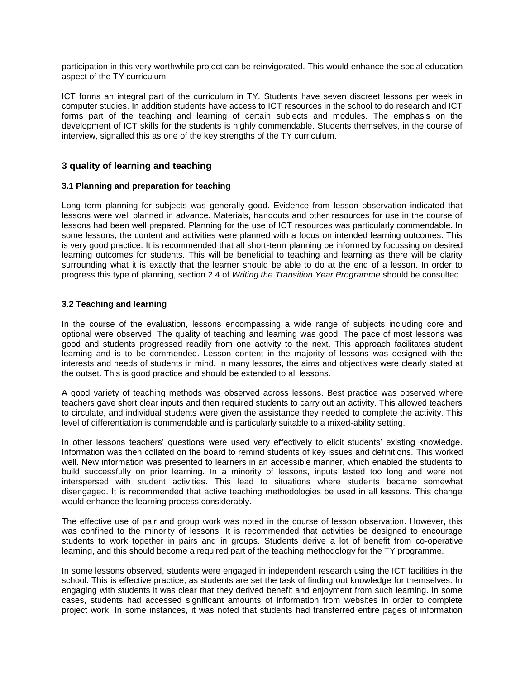participation in this very worthwhile project can be reinvigorated. This would enhance the social education aspect of the TY curriculum.

ICT forms an integral part of the curriculum in TY. Students have seven discreet lessons per week in computer studies. In addition students have access to ICT resources in the school to do research and ICT forms part of the teaching and learning of certain subjects and modules. The emphasis on the development of ICT skills for the students is highly commendable. Students themselves, in the course of interview, signalled this as one of the key strengths of the TY curriculum.

# **3 quality of learning and teaching**

### **3.1 Planning and preparation for teaching**

Long term planning for subjects was generally good. Evidence from lesson observation indicated that lessons were well planned in advance. Materials, handouts and other resources for use in the course of lessons had been well prepared. Planning for the use of ICT resources was particularly commendable. In some lessons, the content and activities were planned with a focus on intended learning outcomes. This is very good practice. It is recommended that all short-term planning be informed by focussing on desired learning outcomes for students. This will be beneficial to teaching and learning as there will be clarity surrounding what it is exactly that the learner should be able to do at the end of a lesson. In order to progress this type of planning, section 2.4 of *Writing the Transition Year Programme* should be consulted.

### **3.2 Teaching and learning**

In the course of the evaluation, lessons encompassing a wide range of subjects including core and optional were observed. The quality of teaching and learning was good. The pace of most lessons was good and students progressed readily from one activity to the next. This approach facilitates student learning and is to be commended. Lesson content in the majority of lessons was designed with the interests and needs of students in mind. In many lessons, the aims and objectives were clearly stated at the outset. This is good practice and should be extended to all lessons.

A good variety of teaching methods was observed across lessons. Best practice was observed where teachers gave short clear inputs and then required students to carry out an activity. This allowed teachers to circulate, and individual students were given the assistance they needed to complete the activity. This level of differentiation is commendable and is particularly suitable to a mixed-ability setting.

In other lessons teachers' questions were used very effectively to elicit students' existing knowledge. Information was then collated on the board to remind students of key issues and definitions. This worked well. New information was presented to learners in an accessible manner, which enabled the students to build successfully on prior learning. In a minority of lessons, inputs lasted too long and were not interspersed with student activities. This lead to situations where students became somewhat disengaged. It is recommended that active teaching methodologies be used in all lessons. This change would enhance the learning process considerably.

The effective use of pair and group work was noted in the course of lesson observation. However, this was confined to the minority of lessons. It is recommended that activities be designed to encourage students to work together in pairs and in groups. Students derive a lot of benefit from co-operative learning, and this should become a required part of the teaching methodology for the TY programme.

In some lessons observed, students were engaged in independent research using the ICT facilities in the school. This is effective practice, as students are set the task of finding out knowledge for themselves. In engaging with students it was clear that they derived benefit and enjoyment from such learning. In some cases, students had accessed significant amounts of information from websites in order to complete project work. In some instances, it was noted that students had transferred entire pages of information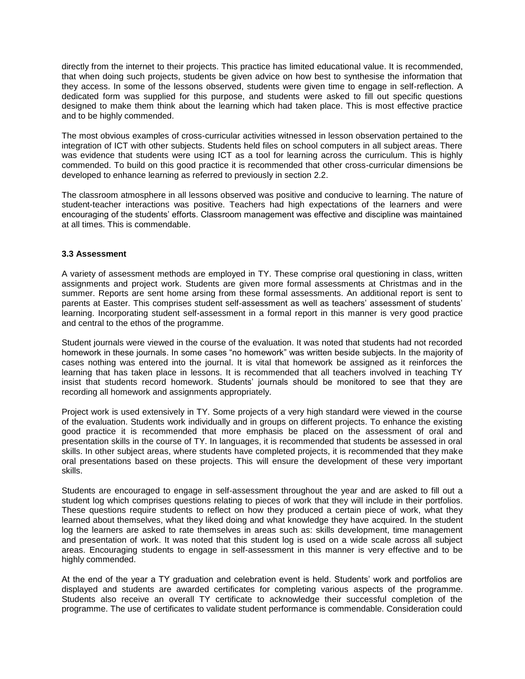directly from the internet to their projects. This practice has limited educational value. It is recommended, that when doing such projects, students be given advice on how best to synthesise the information that they access. In some of the lessons observed, students were given time to engage in self-reflection. A dedicated form was supplied for this purpose, and students were asked to fill out specific questions designed to make them think about the learning which had taken place. This is most effective practice and to be highly commended.

The most obvious examples of cross-curricular activities witnessed in lesson observation pertained to the integration of ICT with other subjects. Students held files on school computers in all subject areas. There was evidence that students were using ICT as a tool for learning across the curriculum. This is highly commended. To build on this good practice it is recommended that other cross-curricular dimensions be developed to enhance learning as referred to previously in section 2.2.

The classroom atmosphere in all lessons observed was positive and conducive to learning. The nature of student-teacher interactions was positive. Teachers had high expectations of the learners and were encouraging of the students' efforts. Classroom management was effective and discipline was maintained at all times. This is commendable.

### **3.3 Assessment**

A variety of assessment methods are employed in TY. These comprise oral questioning in class, written assignments and project work. Students are given more formal assessments at Christmas and in the summer. Reports are sent home arsing from these formal assessments. An additional report is sent to parents at Easter. This comprises student self-assessment as well as teachers' assessment of students' learning. Incorporating student self-assessment in a formal report in this manner is very good practice and central to the ethos of the programme.

Student journals were viewed in the course of the evaluation. It was noted that students had not recorded homework in these journals. In some cases "no homework" was written beside subjects. In the majority of cases nothing was entered into the journal. It is vital that homework be assigned as it reinforces the learning that has taken place in lessons. It is recommended that all teachers involved in teaching TY insist that students record homework. Students' journals should be monitored to see that they are recording all homework and assignments appropriately.

Project work is used extensively in TY. Some projects of a very high standard were viewed in the course of the evaluation. Students work individually and in groups on different projects. To enhance the existing good practice it is recommended that more emphasis be placed on the assessment of oral and presentation skills in the course of TY. In languages, it is recommended that students be assessed in oral skills. In other subject areas, where students have completed projects, it is recommended that they make oral presentations based on these projects. This will ensure the development of these very important skills.

Students are encouraged to engage in self-assessment throughout the year and are asked to fill out a student log which comprises questions relating to pieces of work that they will include in their portfolios. These questions require students to reflect on how they produced a certain piece of work, what they learned about themselves, what they liked doing and what knowledge they have acquired. In the student log the learners are asked to rate themselves in areas such as: skills development, time management and presentation of work. It was noted that this student log is used on a wide scale across all subject areas. Encouraging students to engage in self-assessment in this manner is very effective and to be highly commended.

At the end of the year a TY graduation and celebration event is held. Students' work and portfolios are displayed and students are awarded certificates for completing various aspects of the programme. Students also receive an overall TY certificate to acknowledge their successful completion of the programme. The use of certificates to validate student performance is commendable. Consideration could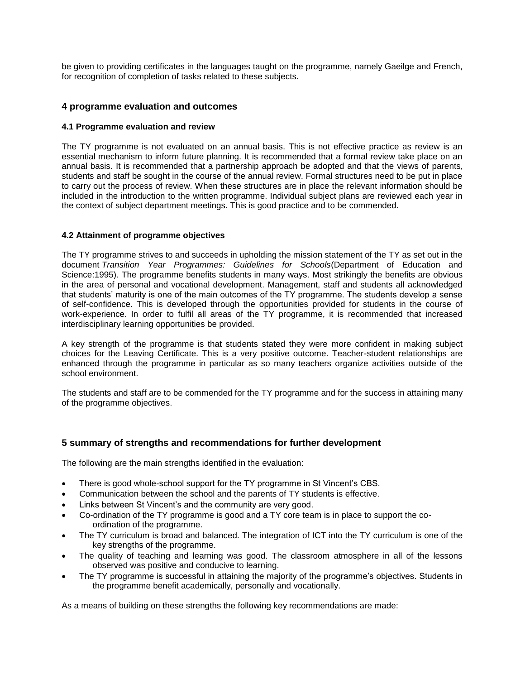be given to providing certificates in the languages taught on the programme, namely Gaeilge and French, for recognition of completion of tasks related to these subjects.

# **4 programme evaluation and outcomes**

### **4.1 Programme evaluation and review**

The TY programme is not evaluated on an annual basis. This is not effective practice as review is an essential mechanism to inform future planning. It is recommended that a formal review take place on an annual basis. It is recommended that a partnership approach be adopted and that the views of parents, students and staff be sought in the course of the annual review. Formal structures need to be put in place to carry out the process of review. When these structures are in place the relevant information should be included in the introduction to the written programme. Individual subject plans are reviewed each year in the context of subject department meetings. This is good practice and to be commended.

### **4.2 Attainment of programme objectives**

The TY programme strives to and succeeds in upholding the mission statement of the TY as set out in the document *Transition Year Programmes: Guidelines for Schools*(Department of Education and Science:1995). The programme benefits students in many ways. Most strikingly the benefits are obvious in the area of personal and vocational development. Management, staff and students all acknowledged that students' maturity is one of the main outcomes of the TY programme. The students develop a sense of self-confidence. This is developed through the opportunities provided for students in the course of work-experience. In order to fulfil all areas of the TY programme, it is recommended that increased interdisciplinary learning opportunities be provided.

A key strength of the programme is that students stated they were more confident in making subject choices for the Leaving Certificate. This is a very positive outcome. Teacher-student relationships are enhanced through the programme in particular as so many teachers organize activities outside of the school environment.

The students and staff are to be commended for the TY programme and for the success in attaining many of the programme objectives.

# **5 summary of strengths and recommendations for further development**

The following are the main strengths identified in the evaluation:

- There is good whole-school support for the TY programme in St Vincent's CBS.
- Communication between the school and the parents of TY students is effective.
- Links between St Vincent's and the community are very good.
- Co-ordination of the TY programme is good and a TY core team is in place to support the coordination of the programme.
- The TY curriculum is broad and balanced. The integration of ICT into the TY curriculum is one of the key strengths of the programme.
- The quality of teaching and learning was good. The classroom atmosphere in all of the lessons observed was positive and conducive to learning.
- The TY programme is successful in attaining the majority of the programme's objectives. Students in the programme benefit academically, personally and vocationally.

As a means of building on these strengths the following key recommendations are made: